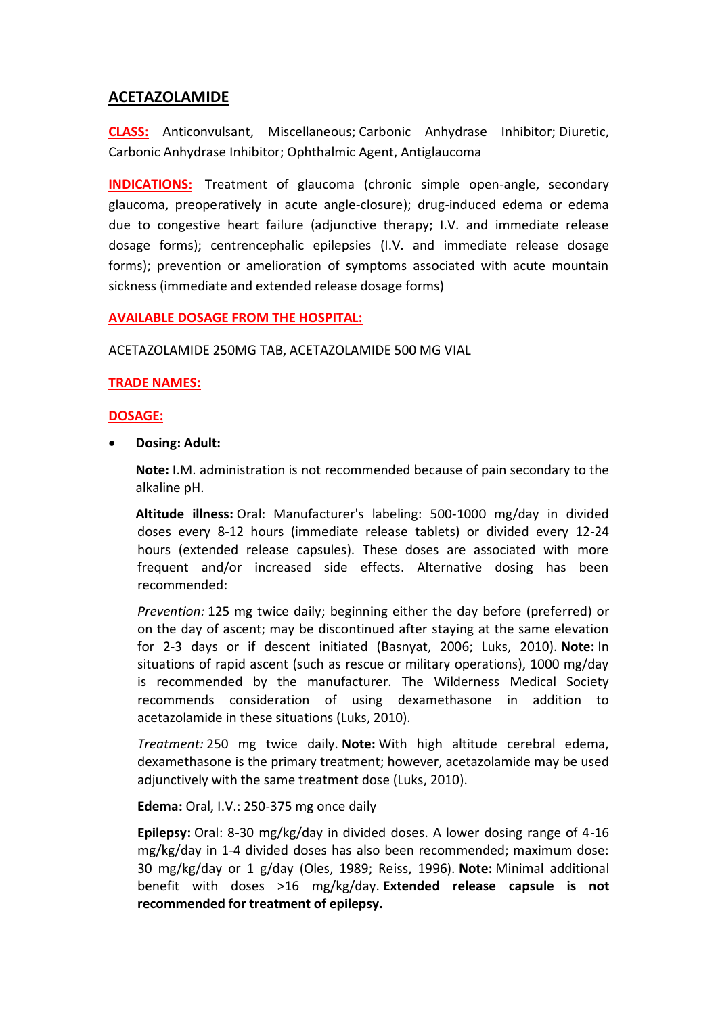# **ACETAZOLAMIDE**

**CLASS:** Anticonvulsant, Miscellaneous; Carbonic Anhydrase Inhibitor; Diuretic, Carbonic Anhydrase Inhibitor; Ophthalmic Agent, Antiglaucoma

**INDICATIONS:** Treatment of glaucoma (chronic simple open-angle, secondary glaucoma, preoperatively in acute angle-closure); drug-induced edema or edema due to congestive heart failure (adjunctive therapy; I.V. and immediate release dosage forms); centrencephalic epilepsies (I.V. and immediate release dosage forms); prevention or amelioration of symptoms associated with acute mountain sickness (immediate and extended release dosage forms)

#### **AVAILABLE DOSAGE FROM THE HOSPITAL:**

ACETAZOLAMIDE 250MG TAB, ACETAZOLAMIDE 500 MG VIAL

#### **TRADE NAMES:**

#### **DOSAGE:**

**Dosing: Adult:**

**Note:** I.M. administration is not recommended because of pain secondary to the alkaline pH.

**Altitude illness:** Oral: Manufacturer's labeling: 500-1000 mg/day in divided doses every 8-12 hours (immediate release tablets) or divided every 12-24 hours (extended release capsules). These doses are associated with more frequent and/or increased side effects. Alternative dosing has been recommended:

*Prevention:* 125 mg twice daily; beginning either the day before (preferred) or on the day of ascent; may be discontinued after staying at the same elevation for 2-3 days or if descent initiated (Basnyat, 2006; Luks, 2010). **Note:** In situations of rapid ascent (such as rescue or military operations), 1000 mg/day is recommended by the manufacturer. The Wilderness Medical Society recommends consideration of using dexamethasone in addition to acetazolamide in these situations (Luks, 2010).

*Treatment:* 250 mg twice daily. **Note:** With high altitude cerebral edema, dexamethasone is the primary treatment; however, acetazolamide may be used adjunctively with the same treatment dose (Luks, 2010).

**Edema:** Oral, I.V.: 250-375 mg once daily

**Epilepsy:** Oral: 8-30 mg/kg/day in divided doses. A lower dosing range of 4-16 mg/kg/day in 1-4 divided doses has also been recommended; maximum dose: 30 mg/kg/day or 1 g/day (Oles, 1989; Reiss, 1996). **Note:** Minimal additional benefit with doses >16 mg/kg/day. **Extended release capsule is not recommended for treatment of epilepsy.**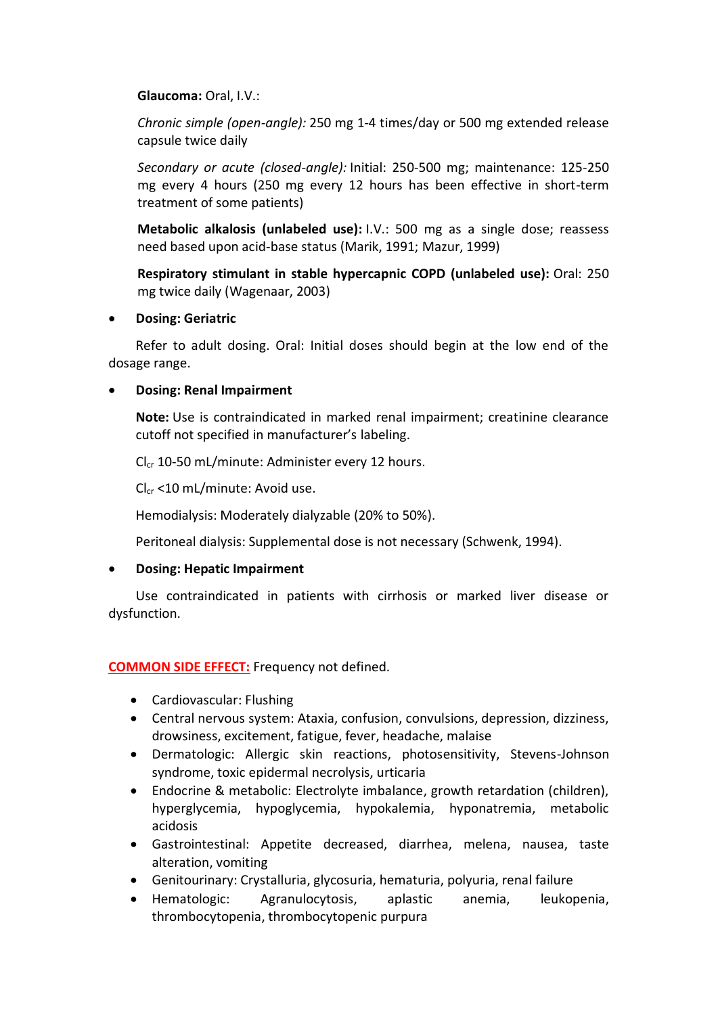### **Glaucoma:** Oral, I.V.:

*Chronic simple (open-angle):* 250 mg 1-4 times/day or 500 mg extended release capsule twice daily

*Secondary or acute (closed-angle):* Initial: 250-500 mg; maintenance: 125-250 mg every 4 hours (250 mg every 12 hours has been effective in short-term treatment of some patients)

**Metabolic alkalosis (unlabeled use):** I.V.: 500 mg as a single dose; reassess need based upon acid-base status (Marik, 1991; Mazur, 1999)

**Respiratory stimulant in stable hypercapnic COPD (unlabeled use):** Oral: 250 mg twice daily (Wagenaar, 2003)

### **Dosing: Geriatric**

Refer to adult dosing. Oral: Initial doses should begin at the low end of the dosage range.

### **Dosing: Renal Impairment**

**Note:** Use is contraindicated in marked renal impairment; creatinine clearance cutoff not specified in manufacturer's labeling.

 $Cl_{cr}$  10-50 mL/minute: Administer every 12 hours.

 $Cl<sub>cr</sub> < 10$  mL/minute: Avoid use.

Hemodialysis: Moderately dialyzable (20% to 50%).

Peritoneal dialysis: Supplemental dose is not necessary (Schwenk, 1994).

## **Dosing: Hepatic Impairment**

Use contraindicated in patients with cirrhosis or marked liver disease or dysfunction.

### **COMMON SIDE EFFECT:** Frequency not defined.

- Cardiovascular: Flushing
- Central nervous system: Ataxia, confusion, convulsions, depression, dizziness, drowsiness, excitement, fatigue, fever, headache, malaise
- Dermatologic: Allergic skin reactions, photosensitivity, Stevens-Johnson syndrome, toxic epidermal necrolysis, urticaria
- Endocrine & metabolic: Electrolyte imbalance, growth retardation (children), hyperglycemia, hypoglycemia, hypokalemia, hyponatremia, metabolic acidosis
- Gastrointestinal: Appetite decreased, diarrhea, melena, nausea, taste alteration, vomiting
- Genitourinary: Crystalluria, glycosuria, hematuria, polyuria, renal failure
- Hematologic: Agranulocytosis, aplastic anemia, leukopenia, thrombocytopenia, thrombocytopenic purpura